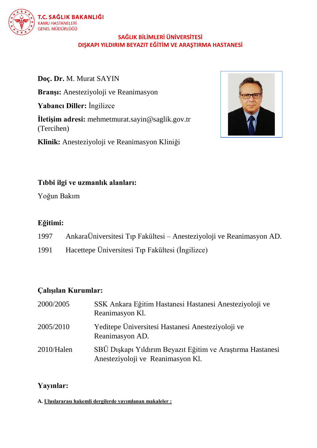

## **SAĞLIK BİLİMLERİ ÜNİVERSİTESİ DIŞKAPI YILDIRIM BEYAZIT EĞİTİM VE ARAŞTIRMA HASTANESİ**

**Doç. Dr.** M. Murat SAYIN **Branşı:** Anesteziyoloji ve Reanimasyon **Yabancı Diller:** İngilizce **İletişim adresi:** mehmetmurat.sayin@saglik.gov.tr (Tercihen) **Klinik:** Anesteziyoloji ve Reanimasyon Kliniği



# **Tıbbi ilgi ve uzmanlık alanları:**

Yoğun Bakım

# **Eğitimi:**

- 1997 AnkaraÜniversitesi Tıp Fakültesi Anesteziyoloji ve Reanimasyon AD.
- 1991 Hacettepe Üniversitesi Tıp Fakültesi (İngilizce)

# **Çalışılan Kurumlar:**

| 2000/2005  | SSK Ankara Eğitim Hastanesi Hastanesi Anesteziyoloji ve<br>Reanimasyon Kl.                      |
|------------|-------------------------------------------------------------------------------------------------|
| 2005/2010  | Yeditepe Üniversitesi Hastanesi Anesteziyoloji ve<br>Reanimasyon AD.                            |
| 2010/Halen | SBÜ Dişkapı Yıldırım Beyazit Eğitim ve Araştırma Hastanesi<br>Anesteziyoloji ve Reanimasyon Kl. |

# **Yayınlar:**

**A. Uluslararası hakemli dergilerde yayımlanan makaleler :**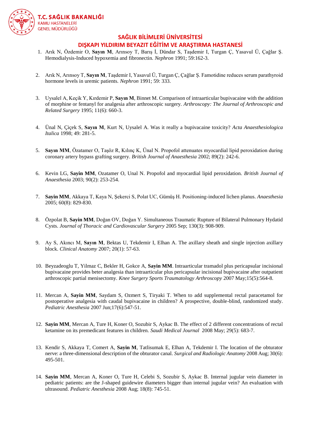

### **SAĞLIK BİLİMLERİ ÜNİVERSİTESİ DIŞKAPI YILDIRIM BEYAZIT EĞİTİM VE ARAŞTIRMA HASTANESİ**

- 1. Arık N, Özdemir O, **Sayın M**, Arınsoy T, Barış İ, Dündar S, Taşdemir I, Turgan Ç, Yasavul Ü, Çağlar Ş. Hemodialysis-Induced hypoxemia and fibronectin. *Nephron* 1991; 59:162-3.
- 2. Arık N, Arınsoy T, **Sayın M**, Taşdemir I, Yasavul Ü, Turgan Ç, Çağlar Ş. Famotidine reduces serum parathyroid hormone levels in uremic patients. *Nephron* 1991; 59: 333.
- 3. Uysalel A, Keçik Y, Kırdemir P, **Sayın M**, Binnet M. Comparison of intraarticular bupivacaine with the addition of morphine or fentanyl for analgesia after arthroscopic surgery. *Arthroscopy: The Journal of Arthroscopic and Related Surgery* 1995; 11(6): 660-3.
- 4. Ünal N, Çiçek S, **Sayın M**, Kurt N, Uysalel A. Was it really a bupivacaine toxicity? *Acta Anaesthesiologica Italica* 1998; 49: 281-5.
- 5. **Sayın MM**, Özatamer O, Taşöz R, Kılınç K, Ünal N. Propofol attenuates myocardial lipid peroxidation during coronary artery bypass grafting surgery. *British Journal of Anaesthesia* 2002; 89(2): 242-6.
- 6. Kevin LG, **Sayin MM**, Ozatamer O, Unal N. Propofol and myocardial lipid peroxidation. *British Journal of Anaesthesia* 2003; 90(2): 253-254.
- 7. **Sayin MM**, Akkaya T, Kaya N, Şekerci S, Polat UC, Gümüş H. Positioning-induced lichen planus. *Anaesthesia* 2005; 60(8): 829-830.
- 8. Özpolat B, **Sayin MM**, Doğan OV, Doğan Y. Simultaneous Traumatic Rupture of Bilateral Pulmonary Hydatid Cysts. *Journal of Thoracic and Cardiovascular Surgery* 2005 Sep; 130(3): 908-909.
- 9. Ay S, Akıncı M, **Sayın M**, Bektas U, Tekdemir I, Elhan A. The axillary sheath and single injection axillary block. *Clinical Anatomy* 2007; 20(1): 57-63.
- 10. Beyzadeoglu T, Yilmaz C, Bekler H, Gokce A, **Sayin MM**. Intraarticular tramadol plus pericapsular incisional bupivacaine provides beter analgesia than intraarticular plus pericapsular incisional bupivacaine after outpatient arthroscopic partial menisectomy. *Knee Surgery Sports Traumatology Arthroscopy* 2007 May;15(5):564-8.
- 11. Mercan A, **Sayin MM**, Saydam S, Ozmert S, Tiryaki T. When to add supplemental rectal paracetamol for postoperative analgesia with caudal bupivacaine in children? A prospective, double-blind, randomized study. *Pediatric Anesthesia* 2007 Jun;17(6):547-51.
- 12. **Sayin MM**, Mercan A, Ture H, Koner O, Sozubir S, Aykac B. The effect of 2 different concentrations of rectal ketamine on its premedicant features in children. *Saudi Medical Journal* 2008 May; 29(5): 683-7.
- 13. Kendir S, Akkaya T, Comert A, **Sayin M**, Tatlisumak E, Elhan A, Tekdemir I. The location of the obturator nerve: a three-dimensional description of the obturator canal. *Surgical and Radiologic Anatomy* 2008 Aug; 30(6): 495-501.
- 14. **Sayin MM**, Mercan A, Koner O, Ture H, Celebi S, Sozubir S, Aykac B. Internal jugular vein diameter in pediatric patients: are the J-shaped guidewire diameters bigger than internal jugular vein? An evaluation with ultrasound. *Pediatric Anesthesia* 2008 Aug; 18(8): 745-51.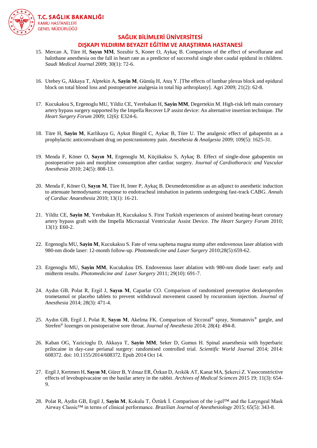

## **SAĞLIK BİLİMLERİ ÜNİVERSİTESİ**

#### **DIŞKAPI YILDIRIM BEYAZIT EĞİTİM VE ARAŞTIRMA HASTANESİ**

- 15. Mercan A, Türe H, **Sayın MM**, Sozubir S, Koner O, Aykaç B. Comparison of the effect of sevoflurane and halothane anesthesia on the fall in heart rate as a predictor of successful single shot caudal epidural in children. *Saudi Medical Journal* 2009; 30(1): 72-6.
- 16. Utebey G, Akkaya T, Alptekin A, **Sayin M**, Gümüş H, Ateş Y. [The effects of lumbar plexus block and epidural block on total blood loss and postoperative analgesia in total hip arthroplasty]. Agri 2009; 21(2): 62-8.
- 17. Kucukaksu S, Ergenoglu MU, Yildiz CE, Yerebakan H, **Sayin MM**, Degertekin M. High-risk left main coronary artery bypass surgery supported by the Impella Recover LP assist device: An alternative insertion technique. *The Heart Surgery Forum* 2009; 12(6): E324-6.
- 18. Türe H, **Sayin M**, Karlikaya G, Aykut Bingöl C, Aykac B, Türe U. The analgesic effect of gabapentin as a prophylactic anticonvulsant drug on postcraniotomy pain. *Anesthesia & Analgesia* 2009; 109(5): 1625-31.
- 19. Menda F, Köner O, **Sayın M**, Ergenoglu M, Küçükaksu S, Aykaç B. Effect of single-dose gabapentin on postoperative pain and morphine consumption after cardiac surgery. *Journal of Cardiothoracic and Vascular Anesthesia* 2010; 24(5): 808-13.
- 20. Menda F, Köner O, **Sayın M**, Türe H, Imer P, Aykaç B. Dexmedetomidine as an adjunct to anesthetic induction to attenuate hemodynamic response to endotracheal intubation in patients undergoing fast-track CABG. *Annals of Cardiac Anaesthesia* 2010; 13(1): 16-21.
- 21. Yildiz CE, **Sayin M**, Yerebakan H, Kucukaksu S. First Turkish experiences of assisted beating-heart coronary artery bypass graft with the Impella Microaxial Ventricular Assist Device. *The Heart Surgery Forum* 2010; 13(1): E60-2.
- 22. Ergenoglu MU, **Sayin M**, Kucukaksu S. Fate of vena saphena magna stump after endovenous laser ablation with 980-nm diode laser: 12-month follow-up. *Photomedicine and Laser Surgery* 2010;28(5):659-62.
- 23. Ergenoglu MU, **Sayin MM**, Kucukaksu DS. Endovenous laser ablation with 980-nm diode laser: early and midterm results. *Photomedicine and Laser Surgery* 2011; 29(10): 691-7.
- 24. Aydın GB, Polat R, Ergil J, **Sayın M**, Caparlar CO. Comparison of randomized preemptive dexketoprofen trometamol or placebo tablets to prevent withdrawal movement caused by rocuronium injection. *Journal of Anesthesia* 2014; 28(3): 471-4.
- 25. Aydın GB, Ergil J, Polat R, **Sayın M**, Akelma FK. Comparison of Siccoral® spray, Stomatovis® gargle, and Strefen® lozenges on postoperative sore throat. *Journal of Anesthesia* 2014; 28(4): 494-8.
- 26. Kaban OG, Yazicioglu D, Akkaya T, **Sayin MM**, Seker D, Gumus H. Spinal anaesthesia with hyperbaric prilocaine in day-case perianal surgery: randomised controlled trial. *Scientific World Journal* 2014; 2014: 608372. doi: 10.1155/2014/608372. Epub 2014 Oct 14.
- 27. Ergil J, Kertmen H, **Sayın M**, Gürer B, Yılmaz ER, Özkan D, Arıkök AT, Kanat MA, Şekerci Z. Vasoconstrictive effects of levobupivacaine on the basilar artery in the rabbit. *Archives of Medical Sciences* 2015 19; 11(3): 654- 9.
- 28. Polat R, Aydin GB, Ergil J, **Sayin M**, Kokulu T, Öztürk İ. Comparison of the i-gel™ and the Laryngeal Mask Airway Classic™ in terms of clinical performance. *Brazilian Journal of Anesthesiology* 2015; 65(5): 343-8.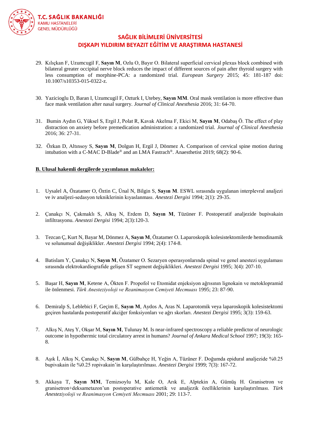

### **SAĞLIK BİLİMLERİ ÜNİVERSİTESİ DIŞKAPI YILDIRIM BEYAZIT EĞİTİM VE ARAŞTIRMA HASTANESİ**

- 29. Kılıçkan F, Uzumcugil F, **Sayın M**, Ozlu O, Bayır O. Bilateral superficial cervical plexus block combined with bilateral greater occipital nerve block reduces the impact of different sources of pain after thyroid surgery with less consumption of morphine-PCA: a randomized trial. *European Surgery* 2015; 45: 181-187 doi: 10.1007/s10353-015-0322-z.
- 30. Yazicioglu D, Baran I, Uzumcugil F, Ozturk I, Utebey, **Sayın MM**. Oral mask ventilation is more effective than face mask ventilation after nasal surgery. *Journal of Clinical Anesthesia* 2016; 31: 64-70.
- 31. Bumin Aydın G, Yüksel S, Ergil J, Polat R, Kavak Akelma F, Ekici M, **Sayın M**, Odabaş Ö. The effect of play distraction on anxiety before premedication administration: a randomized trial. *Journal of Clinical Anesthesia* 2016; 36: 27-31.
- 32. Özkan D, Altınsoy S, **Sayın M**, Dolgun H, Ergil J, Dönmez A. Comparison of cervical spine motion during intubation with a C-MAC D-Blade<sup>®</sup> and an LMA Fastrach<sup>®</sup>. Anaesthetist 2019; 68(2): 90-6.

#### **B. Ulusal hakemli dergilerde yayımlanan makaleler:**

- 1. Uysalel A, Özatamer O, Öztin C, Ünal N, Bilgin S, **Sayın M**. ESWL sırasında uygulanan interplevral analjezi ve iv analjezi-sedasyon tekniklerinin kıyaslanması. *Anestezi Dergisi* 1994; 2(1): 29-35.
- 2. Çanakçı N, Çakmaklı S, Alkış N, Erdem D, **Sayın M**, Tüzüner F. Postoperatif analjezide bupivakain infiltrasyonu. *Anestezi Dergisi* 1994; 2(3):120-3.
- 3. Tezcan Ç, Kurt N, Bayar M, Dönmez A, **Sayın M**, Özatamer O. Laparoskopik kolesistektomilerde hemodinamik ve solunumsal değişiklikler. *Anestezi Dergisi* 1994; 2(4): 174-8.
- 4. Batislam Y, Çanakçı N, **Sayın M**, Özatamer O. Sezaryen operasyonlarında spinal ve genel anestezi uygulaması sırasında elektrokardiografide gelişen ST segment değişiklikleri. *Anestezi Dergisi* 1995; 3(4): 207-10.
- 5. Başar H, **Sayın M**, Ketene A, Ökten F. Propofol ve Etomidat enjeksiyon ağrısının lignokain ve metoklopramid ile önlenmesi. *Türk Anesteziyoloji ve Reanimasyon Cemiyeti Mecmuası* 1995; 23: 87-90.
- 6. Demiralp S, Leblebici F, Geçim E, **Sayın M**, Aydos A, Aras N. Laparotomik veya laparoskopik kolesistektomi geçiren hastalarda postoperatif akciğer fonksiyonları ve ağrı skorları. *Anestezi Dergisi* 1995; 3(3): 159-63.
- 7. Alkış N, Ateş Y, Okşar M, **Sayın M**, Tulunay M. Is near-infrared spectroscopy a reliable predictor of neurologic outcome in hypothermic total circulatory arrest in humans? *Journal of Ankara Medical School* 1997; 19(3): 165- 8.
- 8. Aşık İ, Alkış N, Çanakçı N, **Sayın M**, Gülbahçe H, Yeğin A, Tüzüner F. Doğumda epidural analjezide %0.25 bupivakain ile %0.25 ropivakain'in karşılaştırılması. *Anestezi Dergisi* 1999; 7(3): 167-72.
- 9. Akkaya T, **Sayın MM**, Temizsoylu M, Kale O, Arık E, Alptekin A, Gümüş H. Granisetron ve granisetron+deksametazon'un postoperative antiemetik ve analjezik özelliklerinin karşılaştırılması. *Türk Anesteziyoloji ve Reanimasyon Cemiyeti Mecmuası* 2001; 29: 113-7.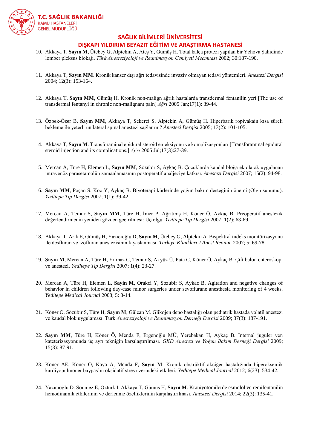

### **SAĞLIK BİLİMLERİ ÜNİVERSİTESİ**

#### **DIŞKAPI YILDIRIM BEYAZIT EĞİTİM VE ARAŞTIRMA HASTANESİ**

- 10. Akkaya T, **Sayın M**, Ütebey G, Alptekin A, Ateş Y, Gümüş H. Total kalça protezi yapılan bir Yehova Şahidinde lomber pleksus blokajı. *Türk Anesteziyoloji ve Reanimasyon Cemiyeti Mecmuası* 2002; 30:187-190.
- 11. Akkaya T, **Sayın MM**. Kronik kanser dışı ağrı tedavisinde invaziv olmayan tedavi yöntemleri. *Anestezi Dergisi* 2004; 12(3): 153-164.
- 12. Akkaya T, **Sayın MM**, Gümüş H. Kronik non-malign ağrılı hastalarda transdermal fentanilin yeri [The use of transdermal fentanyl in chronic non-malignant pain] *Ağrı* 2005 Jan;17(1): 39-44.
- 13. Özbek-Özer B, **Sayın MM**, Akkaya T, Şekerci S, Alptekin A, Gümüş H. Hiperbarik ropivakain kısa süreli bekleme ile yeterli unilateral spinal anestezi sağlar mı? *Anestezi Dergisi* 2005; 13(2): 101-105.
- 14. Akkaya T, **Sayın M**. Transforaminal epidural steroid enjeksiyonu ve komplikasyonları [Transforaminal epidural steroid injection and its complications.] *Ağrı* 2005 Jul;17(3):27-39.
- 15. Mercan A, Türe H, Elemen L, **Sayın MM**, Sözübir S, Aykaç B. Çocuklarda kaudal bloğa ek olarak uygulanan intravenöz parasetamolün zamanlamasının postoperatif analjeziye katkısı. *Anestezi Dergisi* 2007; 15(2): 94-98.
- 16. **Sayın MM**, Poçan S, Koç Y, Aykaç B. Biyoterapi kürlerinde yoğun bakım desteğinin önemi (Olgu sunumu). *Yeditepe Tıp Dergisi* 2007; 1(1): 39-42.
- 17. Mercan A, Temur S, **Sayın MM**, Türe H, İmer P, Ağrıtmış H, Köner Ö, Aykaç B. Preoperatif anestezik değerlendirmenin yeniden gözden geçirilmesi: Üç olgu. *Yeditepe Tıp Dergisi* 2007; 1(2): 63-69.
- 18. Akkaya T, Arık E, Gümüş H, Yazıcıoğlu D, **Sayın M**, Ütebey G, Alptekin A. Bispektral indeks monitörizasyonu ile desfluran ve izofluran anestezisinin kıyaslanması. *Türkiye Klinikleri J Anest Reanim* 2007; 5: 69-78.
- 19. **Sayın M**, Mercan A, Türe H, Yılmaz C, Temur S, Akyüz Ü, Pata C, Köner Ö, Aykaç B. Çift balon enteroskopi ve anestezi. *Yeditepe Tıp Dergisi* 2007; 1(4): 23-27.
- 20. Mercan A, Türe H, Elemen L, **Sayin M**, Orakci Y, Sozubir S, Aykac B. Agitation and negative changes of behavior in children following day-case minor surgeries under sevoflurane anesthesia monitoring of 4 weeks. *Yeditepe Medical Journal* 2008; 5: 8-14.
- 21. Köner O, Sözübir S, Türe H, **Sayın M**, Gülcan M. Glikojen depo hastalığı olan pediatrik hastada volatil anestezi ve kaudal blok uygulaması. Türk *Anesteziyoloji ve Reanimasyon Derneği Dergisi* 2009; 37(3): 187-191.
- 22. **Sayın MM**, Türe H, Köner Ö, Menda F, Ergenoğlu MÜ, Yerebakan H, Aykaç B. İnternal juguler ven kateterizasyonunda üç ayrı tekniğin karşılaştırılması. *GKD Anestezi ve Yoğun Bakım Derneği Dergisi* 2009; 15(3): 87-91.
- 23. Köner AE, Köner Ö, Kaya A, Menda F, **Sayın M**. Kronik obstrüktif akciğer hastalığında hiperoksemik kardiyopulmoner baypas'ın oksidatif stres üzerindeki etkileri. *Yeditepe Medical Journal* 2012; 6(23): 534-42.
- 24. Yazıcıoğlu D. Sönmez E, Öztürk İ, Akkaya T, Gümüş H, **Sayın M**. Kraniyotomilerde esmolol ve remifentanilin hemodinamik etkilerinin ve derlenme özelliklerinin karşılaştırılması. *Anestezi Dergisi* 2014; 22(3): 135-41.